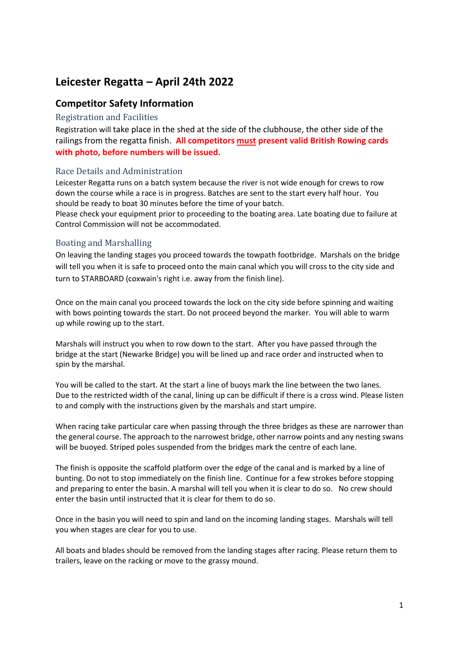# **Leicester Regatta – April 24th 2022**

## **Competitor Safety Information**

#### Registration and Facilities

Registration will take place in the shed at the side of the clubhouse, the other side of the railings from the regatta finish. **All competitors must present valid British Rowing cards with photo, before numbers will be issued.**

### Race Details and Administration

Leicester Regatta runs on a batch system because the river is not wide enough for crews to row down the course while a race is in progress. Batches are sent to the start every half hour. You should be ready to boat 30 minutes before the time of your batch.

Please check your equipment prior to proceeding to the boating area. Late boating due to failure at Control Commission will not be accommodated.

### Boating and Marshalling

On leaving the landing stages you proceed towards the towpath footbridge. Marshals on the bridge will tell you when it is safe to proceed onto the main canal which you will cross to the city side and turn to STARBOARD (coxwain's right i.e. away from the finish line).

Once on the main canal you proceed towards the lock on the city side before spinning and waiting with bows pointing towards the start. Do not proceed beyond the marker. You will able to warm up while rowing up to the start.

Marshals will instruct you when to row down to the start. After you have passed through the bridge at the start (Newarke Bridge) you will be lined up and race order and instructed when to spin by the marshal.

You will be called to the start. At the start a line of buoys mark the line between the two lanes. Due to the restricted width of the canal, lining up can be difficult if there is a cross wind. Please listen to and comply with the instructions given by the marshals and start umpire.

When racing take particular care when passing through the three bridges as these are narrower than the general course. The approach to the narrowest bridge, other narrow points and any nesting swans will be buoyed. Striped poles suspended from the bridges mark the centre of each lane.

The finish is opposite the scaffold platform over the edge of the canal and is marked by a line of bunting. Do not to stop immediately on the finish line. Continue for a few strokes before stopping and preparing to enter the basin. A marshal will tell you when it is clear to do so. No crew should enter the basin until instructed that it is clear for them to do so.

Once in the basin you will need to spin and land on the incoming landing stages. Marshals will tell you when stages are clear for you to use.

All boats and blades should be removed from the landing stages after racing. Please return them to trailers, leave on the racking or move to the grassy mound.